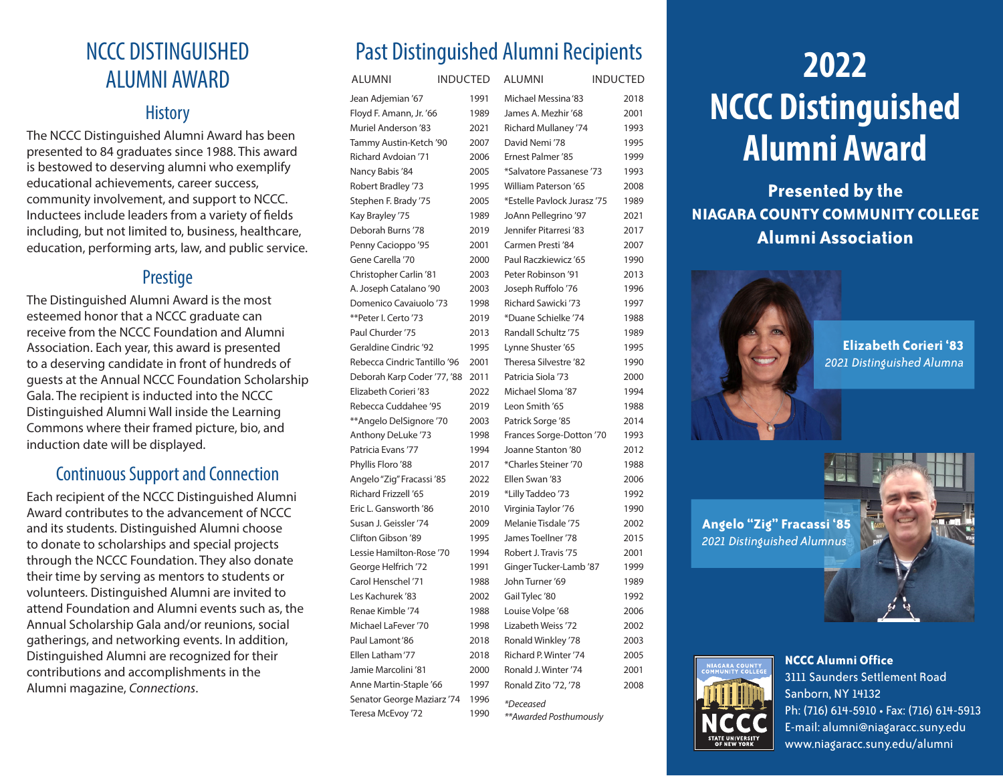## NCCC DISTINGUISHED ALUMNI AWARD

#### **History**

The NCCC Distinguished Alumni Award has been presented to 84 graduates since 1988. This award is bestowed to deserving alumni who exemplify educational achievements, career success, community involvement, and support to NCCC. Inductees include leaders from a variety of fields including, but not limited to, business, healthcare, education, performing arts, law, and public service.

#### **Prestige**

The Distinguished Alumni Award is the most esteemed honor that a NCCC graduate can receive from the NCCC Foundation and Alumni Association. Each year, this award is presented to a deserving candidate in front of hundreds of guests at the Annual NCCC Foundation Scholarship Gala. The recipient is inducted into the NCCC Distinguished Alumni Wall inside the Learning Commons where their framed picture, bio, and induction date will be displayed.

### Continuous Support and Connection

Each recipient of the NCCC Distinguished Alumni Award contributes to the advancement of NCCC and its students. Distinguished Alumni choose to donate to scholarships and special projects through the NCCC Foundation. They also donate their time by serving as mentors to students or volunteers. Distinguished Alumni are invited to attend Foundation and Alumni events such as, the Annual Scholarship Gala and/or reunions, social gatherings, and networking events. In addition, Distinguished Alumni are recognized for their contributions and accomplishments in the Alumni magazine, *Connections*.

## Past Distinguished Alumni Recipients

| <b>ALUMNI</b>                | <b>INDUCTED</b> |      | <b>ALUMNI</b>               | <b>INDUCTED</b> |
|------------------------------|-----------------|------|-----------------------------|-----------------|
| Jean Adjemian '67            |                 | 1991 | Michael Messina '83         | 2018            |
| Floyd F. Amann, Jr. '66      |                 | 1989 | James A. Mezhir '68         | 2001            |
| <b>Muriel Anderson '83</b>   |                 | 2021 | Richard Mullaney '74        | 1993            |
| Tammy Austin-Ketch '90       |                 | 2007 | David Nemi '78              | 1995            |
| Richard Avdoian '71          |                 | 2006 | Ernest Palmer '85           | 1999            |
| Nancy Babis '84              |                 | 2005 | *Salvatore Passanese '73    | 1993            |
| Robert Bradley '73           |                 | 1995 | <b>William Paterson '65</b> | 2008            |
| Stephen F. Brady '75         |                 | 2005 | *Estelle Paylock Jurasz '75 | 1989            |
| Kay Brayley '75              |                 | 1989 | JoAnn Pellegrino '97        | 2021            |
| Deborah Burns '78            |                 | 2019 | Jennifer Pitarresi '83      | 2017            |
| Penny Cacioppo '95           |                 | 2001 | Carmen Presti '84           | 2007            |
| Gene Carella '70             |                 | 2000 | Paul Raczkiewicz '65        | 1990            |
| Christopher Carlin '81       |                 | 2003 | Peter Robinson '91          | 2013            |
| A. Joseph Catalano '90       |                 | 2003 | Joseph Ruffolo '76          | 1996            |
| Domenico Cavaiuolo '73       |                 | 1998 | <b>Richard Sawicki '73</b>  | 1997            |
| **Peter I. Certo '73         |                 | 2019 | *Duane Schielke '74         | 1988            |
| Paul Churder '75             |                 | 2013 | Randall Schultz '75         | 1989            |
| Geraldine Cindric '92        |                 | 1995 | Lynne Shuster '65           | 1995            |
| Rebecca Cindric Tantillo '96 |                 | 2001 | Theresa Silvestre '82       | 1990            |
| Deborah Karp Coder '77, '88  |                 | 2011 | Patricia Siola '73          | 2000            |
| Elizabeth Corieri '83        |                 | 2022 | Michael Sloma '87           | 1994            |
| Rebecca Cuddahee '95         |                 | 2019 | Leon Smith '65              | 1988            |
| **Angelo DelSignore '70      |                 | 2003 | Patrick Sorge '85           | 2014            |
| Anthony DeLuke '73           |                 | 1998 | Frances Sorge-Dotton '70    | 1993            |
| Patricia Evans '77           |                 | 1994 | Joanne Stanton '80          | 2012            |
| Phyllis Floro '88            |                 | 2017 | *Charles Steiner '70        | 1988            |
| Angelo "Zig" Fracassi '85    |                 | 2022 | Ellen Swan '83              | 2006            |
| Richard Frizzell '65         |                 | 2019 | *Lilly Taddeo '73           | 1992            |
| Eric L. Gansworth '86        |                 | 2010 | Virginia Taylor '76         | 1990            |
| Susan J. Geissler '74        |                 | 2009 | Melanie Tisdale '75         | 2002            |
| Clifton Gibson '89           |                 | 1995 | James Toellner '78          | 2015            |
| Lessie Hamilton-Rose '70     |                 | 1994 | Robert J. Travis '75        | 2001            |
| George Helfrich '72          |                 | 1991 | Ginger Tucker-Lamb '87      | 1999            |
| Carol Henschel '71           |                 | 1988 | John Turner '69             | 1989            |
| Les Kachurek '83             |                 | 2002 | Gail Tylec '80              | 1992            |
| Renae Kimble '74             |                 | 1988 | Louise Volpe '68            | 2006            |
| Michael LaFever '70          |                 | 1998 | Lizabeth Weiss '72          | 2002            |
| Paul Lamont '86              |                 | 2018 | Ronald Winkley '78          | 2003            |
| Ellen Latham'77              |                 | 2018 | Richard P. Winter '74       | 2005            |
| Jamie Marcolini '81          |                 | 2000 | Ronald J. Winter '74        | 2001            |
| Anne Martin-Staple '66       |                 | 1997 | Ronald Zito '72, '78        | 2008            |
| Senator George Maziarz '74   |                 | 1996 | <i>*Deceased</i>            |                 |
| Teresa McEvoy '72            |                 | 1990 | **Awarded Posthumously      |                 |

# **2022 NCCC Distinguished Alumni Award**

**Presented by the NIAGARA COUNTY COMMUNITY COLLEGE Alumni Association**



**Elizabeth Corieri '83** *2021 Distinguished Alumna* 

**Angelo "Zig" Fracassi '85**  *2021 Distinguished Alumnus* 



**NCCC Alumni Office** 3111 Saunders Settlement Road Sanborn, NY 14132 Ph: (716) 614-5910 • Fax: (716) 614-5913 E-mail: alumni@niagaracc.suny.edu www.niagaracc.suny.edu/alumni